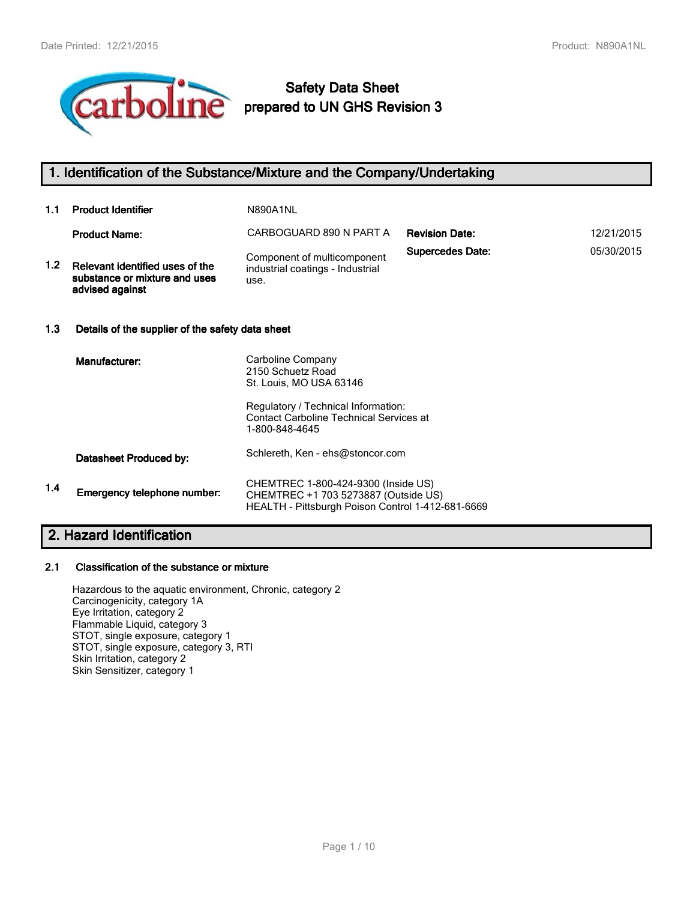

# **Safety Data Sheet prepared to UN GHS Revision 3**

## **1. Identification of the Substance/Mixture and the Company/Undertaking**

| 1.1     | <b>Product Identifier</b>                                                           | N890A1NL                                                                |                         |            |  |
|---------|-------------------------------------------------------------------------------------|-------------------------------------------------------------------------|-------------------------|------------|--|
|         | <b>Product Name:</b>                                                                | CARBOGUARD 890 N PART A                                                 | <b>Revision Date:</b>   | 12/21/2015 |  |
| $1.2\,$ | Relevant identified uses of the<br>substance or mixture and uses<br>advised against | Component of multicomponent<br>industrial coatings - Industrial<br>use. | <b>Supercedes Date:</b> | 05/30/2015 |  |
| 1.3     | Details of the supplier of the safety data sheet                                    |                                                                         |                         |            |  |

|     | Manufacturer:               | Carboline Company<br>2150 Schuetz Road<br>St. Louis, MO USA 63146                                                                |
|-----|-----------------------------|----------------------------------------------------------------------------------------------------------------------------------|
|     |                             | Regulatory / Technical Information:<br><b>Contact Carboline Technical Services at</b><br>1-800-848-4645                          |
|     | Datasheet Produced by:      | Schlereth, Ken - ehs@stoncor.com                                                                                                 |
| 1.4 | Emergency telephone number: | CHEMTREC 1-800-424-9300 (Inside US)<br>CHEMTREC +1 703 5273887 (Outside US)<br>HEALTH - Pittsburgh Poison Control 1-412-681-6669 |

## **2. Hazard Identification**

#### **2.1 Classification of the substance or mixture**

Hazardous to the aquatic environment, Chronic, category 2 Carcinogenicity, category 1A Eye Irritation, category 2 Flammable Liquid, category 3 STOT, single exposure, category 1 STOT, single exposure, category 3, RTI Skin Irritation, category 2 Skin Sensitizer, category 1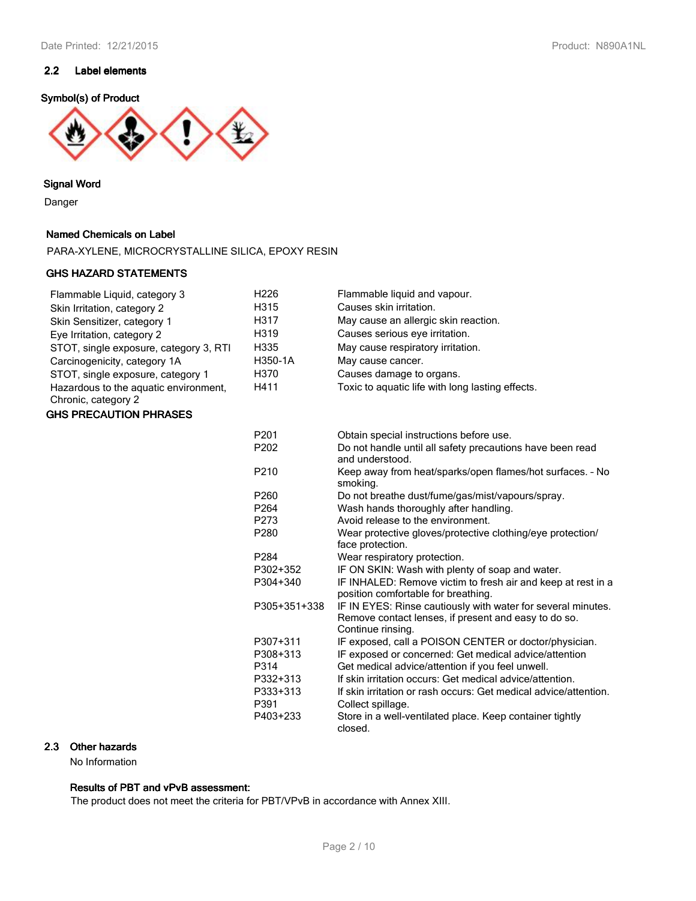## **2.2 Label elements**

### **Symbol(s) of Product**



**Signal Word**

Danger

### **Named Chemicals on Label**

PARA-XYLENE, MICROCRYSTALLINE SILICA, EPOXY RESIN

#### **GHS HAZARD STATEMENTS**

| Flammable Liquid, category 3                                 | H <sub>226</sub> | Flammable liquid and vapour.                                                                                                              |
|--------------------------------------------------------------|------------------|-------------------------------------------------------------------------------------------------------------------------------------------|
| Skin Irritation, category 2                                  | H315             | Causes skin irritation.                                                                                                                   |
| Skin Sensitizer, category 1                                  | H317             | May cause an allergic skin reaction.                                                                                                      |
| Eye Irritation, category 2                                   | H319             | Causes serious eye irritation.                                                                                                            |
| STOT, single exposure, category 3, RTI                       | H335             | May cause respiratory irritation.                                                                                                         |
| Carcinogenicity, category 1A                                 | H350-1A          | May cause cancer.                                                                                                                         |
| STOT, single exposure, category 1                            | H370             | Causes damage to organs.                                                                                                                  |
| Hazardous to the aquatic environment,<br>Chronic, category 2 | H411             | Toxic to aquatic life with long lasting effects.                                                                                          |
| <b>GHS PRECAUTION PHRASES</b>                                |                  |                                                                                                                                           |
|                                                              | P201             | Obtain special instructions before use.                                                                                                   |
|                                                              | P202             | Do not handle until all safety precautions have been read<br>and understood.                                                              |
|                                                              | P210             | Keep away from heat/sparks/open flames/hot surfaces. - No<br>smoking.                                                                     |
|                                                              | P260             | Do not breathe dust/fume/gas/mist/vapours/spray.                                                                                          |
|                                                              | P <sub>264</sub> | Wash hands thoroughly after handling.                                                                                                     |
|                                                              | P273             | Avoid release to the environment.                                                                                                         |
|                                                              | P280             | Wear protective gloves/protective clothing/eye protection/<br>face protection.                                                            |
|                                                              | P284             | Wear respiratory protection.                                                                                                              |
|                                                              | P302+352         | IF ON SKIN: Wash with plenty of soap and water.                                                                                           |
|                                                              | P304+340         | IF INHALED: Remove victim to fresh air and keep at rest in a<br>position comfortable for breathing.                                       |
|                                                              | P305+351+338     | IF IN EYES: Rinse cautiously with water for several minutes.<br>Remove contact lenses, if present and easy to do so.<br>Continue rinsing. |
|                                                              | P307+311         | IF exposed, call a POISON CENTER or doctor/physician.                                                                                     |
|                                                              | P308+313         | IF exposed or concerned: Get medical advice/attention                                                                                     |
|                                                              | P314             | Get medical advice/attention if you feel unwell.                                                                                          |
|                                                              | P332+313         | If skin irritation occurs: Get medical advice/attention.                                                                                  |
|                                                              | P333+313         | If skin irritation or rash occurs: Get medical advice/attention.                                                                          |
|                                                              | P391             | Collect spillage.                                                                                                                         |
|                                                              | P403+233         | Store in a well-ventilated place. Keep container tightly<br>closed.                                                                       |

## **2.3 Other hazards**

No Information

## **Results of PBT and vPvB assessment:**

The product does not meet the criteria for PBT/VPvB in accordance with Annex XIII.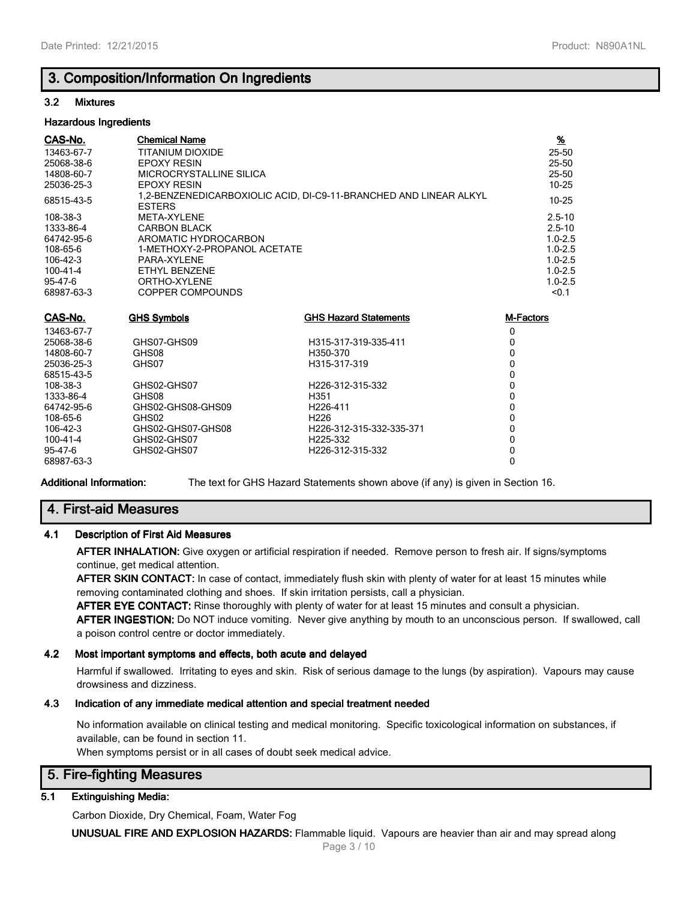## **3. Composition/Information On Ingredients**

#### **3.2 Mixtures**

#### **Hazardous Ingredients**

| CAS-No.        | <b>Chemical Name</b>         |                                                                   | $\frac{9}{6}$    |
|----------------|------------------------------|-------------------------------------------------------------------|------------------|
| 13463-67-7     | <b>TITANIUM DIOXIDE</b>      |                                                                   | 25-50            |
| 25068-38-6     | <b>EPOXY RESIN</b>           |                                                                   | 25-50            |
| 14808-60-7     | MICROCRYSTALLINE SILICA      |                                                                   | $25 - 50$        |
| 25036-25-3     | <b>EPOXY RESIN</b>           |                                                                   | 10-25            |
| 68515-43-5     | <b>ESTERS</b>                | 1.2-BENZENEDICARBOXIOLIC ACID, DI-C9-11-BRANCHED AND LINEAR ALKYL | $10 - 25$        |
| 108-38-3       | META-XYLENE                  |                                                                   | $2.5 - 10$       |
| 1333-86-4      | <b>CARBON BLACK</b>          |                                                                   | $2.5 - 10$       |
| 64742-95-6     | AROMATIC HYDROCARBON         |                                                                   | $1.0 - 2.5$      |
| 108-65-6       | 1-METHOXY-2-PROPANOL ACETATE |                                                                   | $1.0 - 2.5$      |
| 106-42-3       | PARA-XYLENE                  |                                                                   | $1.0 - 2.5$      |
| $100 - 41 - 4$ | ETHYL BENZENE                |                                                                   | $1.0 - 2.5$      |
| $95 - 47 - 6$  | ORTHO-XYLENE                 |                                                                   | $1.0 - 2.5$      |
| 68987-63-3     | COPPER COMPOUNDS             |                                                                   | < 0.1            |
| CAS-No.        | <b>GHS Symbols</b>           | <b>GHS Hazard Statements</b>                                      | <b>M-Factors</b> |
| 13463-67-7     |                              |                                                                   | 0                |
| 25068-38-6     | GHS07-GHS09                  | H315-317-319-335-411                                              | 0                |
| 14808-60-7     | GHS08                        | H350-370                                                          | 0                |
|                |                              |                                                                   |                  |

| <u>14808-00-7</u> | GUGNO             | <b>H350-370</b>               |   |
|-------------------|-------------------|-------------------------------|---|
| 25036-25-3        | GHS07             | H315-317-319                  |   |
| 68515-43-5        |                   |                               |   |
| 108-38-3          | GHS02-GHS07       | H <sub>226</sub> -312-315-332 | 0 |
| 1333-86-4         | GHS08             | H351                          | 0 |
| 64742-95-6        | GHS02-GHS08-GHS09 | H <sub>226</sub> -411         | 0 |
| 108-65-6          | GHS02             | H <sub>226</sub>              |   |
| 106-42-3          | GHS02-GHS07-GHS08 | H226-312-315-332-335-371      |   |
| 100-41-4          | GHS02-GHS07       | H <sub>225</sub> -332         |   |
| 95-47-6           | GHS02-GHS07       | H <sub>226</sub> -312-315-332 | 0 |
| 68987-63-3        |                   |                               |   |
|                   |                   |                               |   |

**Additional Information:** The text for GHS Hazard Statements shown above (if any) is given in Section 16.

## **4. First-aid Measures**

#### **4.1 Description of First Aid Measures**

**AFTER INHALATION:** Give oxygen or artificial respiration if needed. Remove person to fresh air. If signs/symptoms continue, get medical attention.

**AFTER SKIN CONTACT:** In case of contact, immediately flush skin with plenty of water for at least 15 minutes while removing contaminated clothing and shoes. If skin irritation persists, call a physician.

**AFTER EYE CONTACT:** Rinse thoroughly with plenty of water for at least 15 minutes and consult a physician.

**AFTER INGESTION:** Do NOT induce vomiting. Never give anything by mouth to an unconscious person. If swallowed, call a poison control centre or doctor immediately.

#### **4.2 Most important symptoms and effects, both acute and delayed**

Harmful if swallowed. Irritating to eyes and skin. Risk of serious damage to the lungs (by aspiration). Vapours may cause drowsiness and dizziness.

## **4.3 Indication of any immediate medical attention and special treatment needed**

No information available on clinical testing and medical monitoring. Specific toxicological information on substances, if available, can be found in section 11.

When symptoms persist or in all cases of doubt seek medical advice.

## **5. Fire-fighting Measures**

#### **5.1 Extinguishing Media:**

Carbon Dioxide, Dry Chemical, Foam, Water Fog

**UNUSUAL FIRE AND EXPLOSION HAZARDS:** Flammable liquid. Vapours are heavier than air and may spread along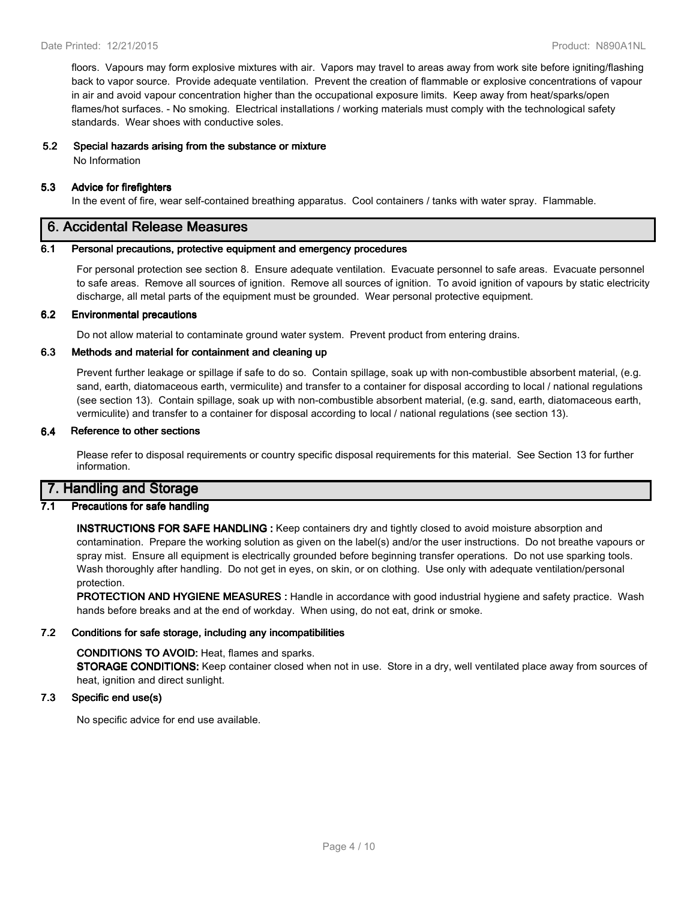floors. Vapours may form explosive mixtures with air. Vapors may travel to areas away from work site before igniting/flashing back to vapor source. Provide adequate ventilation. Prevent the creation of flammable or explosive concentrations of vapour in air and avoid vapour concentration higher than the occupational exposure limits. Keep away from heat/sparks/open flames/hot surfaces. - No smoking. Electrical installations / working materials must comply with the technological safety standards. Wear shoes with conductive soles.

## **5.2 Special hazards arising from the substance or mixture**

No Information

#### **5.3 Advice for firefighters**

In the event of fire, wear self-contained breathing apparatus. Cool containers / tanks with water spray. Flammable.

## **6. Accidental Release Measures**

#### **6.1 Personal precautions, protective equipment and emergency procedures**

For personal protection see section 8. Ensure adequate ventilation. Evacuate personnel to safe areas. Evacuate personnel to safe areas. Remove all sources of ignition. Remove all sources of ignition. To avoid ignition of vapours by static electricity discharge, all metal parts of the equipment must be grounded. Wear personal protective equipment.

#### **6.2 Environmental precautions**

Do not allow material to contaminate ground water system. Prevent product from entering drains.

#### **6.3 Methods and material for containment and cleaning up**

Prevent further leakage or spillage if safe to do so. Contain spillage, soak up with non-combustible absorbent material, (e.g. sand, earth, diatomaceous earth, vermiculite) and transfer to a container for disposal according to local / national regulations (see section 13). Contain spillage, soak up with non-combustible absorbent material, (e.g. sand, earth, diatomaceous earth, vermiculite) and transfer to a container for disposal according to local / national regulations (see section 13).

#### **6.4 Reference to other sections**

Please refer to disposal requirements or country specific disposal requirements for this material. See Section 13 for further information.

## **7. Handling and Storage**

#### **7.1 Precautions for safe handling**

**INSTRUCTIONS FOR SAFE HANDLING :** Keep containers dry and tightly closed to avoid moisture absorption and contamination. Prepare the working solution as given on the label(s) and/or the user instructions. Do not breathe vapours or spray mist. Ensure all equipment is electrically grounded before beginning transfer operations. Do not use sparking tools. Wash thoroughly after handling. Do not get in eyes, on skin, or on clothing. Use only with adequate ventilation/personal protection.

**PROTECTION AND HYGIENE MEASURES :** Handle in accordance with good industrial hygiene and safety practice. Wash hands before breaks and at the end of workday. When using, do not eat, drink or smoke.

#### **7.2 Conditions for safe storage, including any incompatibilities**

#### **CONDITIONS TO AVOID:** Heat, flames and sparks.

**STORAGE CONDITIONS:** Keep container closed when not in use. Store in a dry, well ventilated place away from sources of heat, ignition and direct sunlight.

## **7.3 Specific end use(s)**

No specific advice for end use available.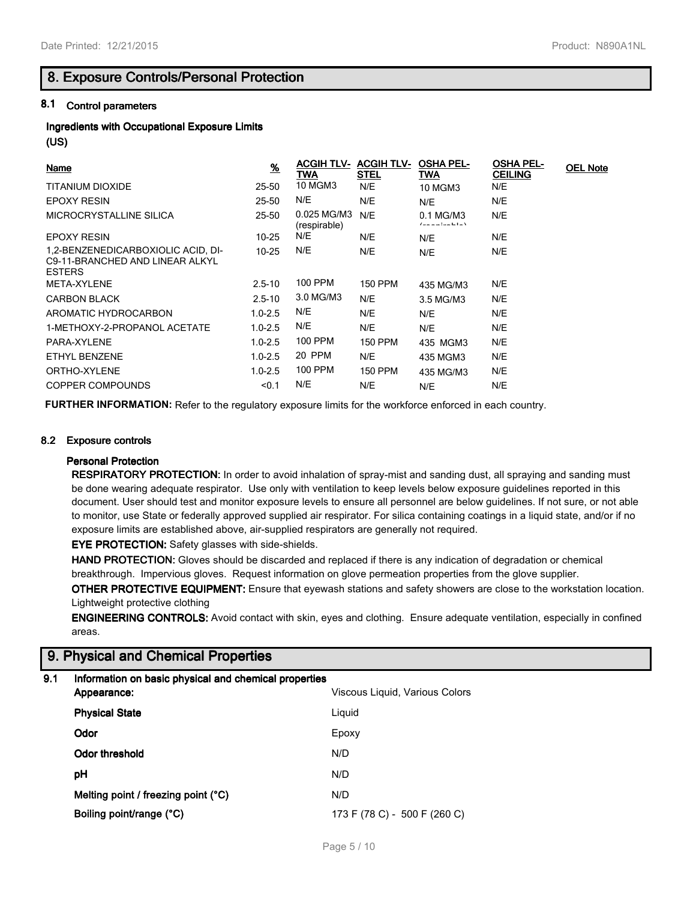## **8. Exposure Controls/Personal Protection**

## **8.1 Control parameters**

## **Ingredients with Occupational Exposure Limits**

**(US)**

| <b>Name</b>                                                                            | $\frac{9}{6}$ | <b>ACGIH TLV- ACGIH TLV-</b><br>TWA | <b>STEL</b>    | <b>OSHA PEL-</b><br><b>TWA</b>   | <b>OSHA PEL-</b><br><b>CEILING</b> | <b>OEL Note</b> |
|----------------------------------------------------------------------------------------|---------------|-------------------------------------|----------------|----------------------------------|------------------------------------|-----------------|
| TITANIUM DIOXIDE                                                                       | 25-50         | <b>10 MGM3</b>                      | N/E            | <b>10 MGM3</b>                   | N/E                                |                 |
| <b>EPOXY RESIN</b>                                                                     | 25-50         | N/E                                 | N/E            | N/E                              | N/E                                |                 |
| MICROCRYSTALLINE SILICA                                                                | $25 - 50$     | 0.025 MG/M3<br>(respirable)         | N/E            | 0.1 MG/M3<br>الملما عميلم وحميات | N/E                                |                 |
| <b>EPOXY RESIN</b>                                                                     | 10-25         | N/E                                 | N/E            | N/E                              | N/E                                |                 |
| 1,2-BENZENEDICARBOXIOLIC ACID, DI-<br>C9-11-BRANCHED AND LINEAR ALKYL<br><b>ESTERS</b> | $10 - 25$     | N/E                                 | N/E            | N/E                              | N/E                                |                 |
| META-XYLENE                                                                            | $2.5 - 10$    | <b>100 PPM</b>                      | <b>150 PPM</b> | 435 MG/M3                        | N/E                                |                 |
| <b>CARBON BLACK</b>                                                                    | $2.5 - 10$    | 3.0 MG/M3                           | N/E            | 3.5 MG/M3                        | N/E                                |                 |
| AROMATIC HYDROCARBON                                                                   | $1.0 - 2.5$   | N/E                                 | N/E            | N/E                              | N/E                                |                 |
| 1-METHOXY-2-PROPANOL ACETATE                                                           | $1.0 - 2.5$   | N/E                                 | N/E            | N/E                              | N/E                                |                 |
| PARA-XYLENE                                                                            | $1.0 - 2.5$   | 100 PPM                             | 150 PPM        | 435 MGM3                         | N/E                                |                 |
| ETHYL BENZENE                                                                          | $1.0 - 2.5$   | 20 PPM                              | N/E            | 435 MGM3                         | N/E                                |                 |
| ORTHO-XYLENE                                                                           | $1.0 - 2.5$   | <b>100 PPM</b>                      | <b>150 PPM</b> | 435 MG/M3                        | N/E                                |                 |
| <b>COPPER COMPOUNDS</b>                                                                | < 0.1         | N/E                                 | N/E            | N/E                              | N/E                                |                 |

**FURTHER INFORMATION:** Refer to the regulatory exposure limits for the workforce enforced in each country.

#### **8.2 Exposure controls**

#### **Personal Protection**

**RESPIRATORY PROTECTION:** In order to avoid inhalation of spray-mist and sanding dust, all spraying and sanding must be done wearing adequate respirator. Use only with ventilation to keep levels below exposure guidelines reported in this document. User should test and monitor exposure levels to ensure all personnel are below guidelines. If not sure, or not able to monitor, use State or federally approved supplied air respirator. For silica containing coatings in a liquid state, and/or if no exposure limits are established above, air-supplied respirators are generally not required.

**EYE PROTECTION:** Safety glasses with side-shields.

**HAND PROTECTION:** Gloves should be discarded and replaced if there is any indication of degradation or chemical breakthrough. Impervious gloves. Request information on glove permeation properties from the glove supplier.

**OTHER PROTECTIVE EQUIPMENT:** Ensure that eyewash stations and safety showers are close to the workstation location. Lightweight protective clothing

**ENGINEERING CONTROLS:** Avoid contact with skin, eyes and clothing. Ensure adequate ventilation, especially in confined areas.

# **9. Physical and Chemical Properties**

| 9.1 | Information on basic physical and chemical properties<br>Appearance: | Viscous Liquid, Various Colors |  |  |
|-----|----------------------------------------------------------------------|--------------------------------|--|--|
|     | <b>Physical State</b>                                                | Liguid                         |  |  |
|     | Odor                                                                 | Epoxy                          |  |  |
|     | Odor threshold                                                       | N/D                            |  |  |
|     | рH                                                                   | N/D                            |  |  |
|     | Melting point / freezing point $(^{\circ}C)$                         | N/D                            |  |  |
|     | Boiling point/range (°C)                                             | 173 F (78 C) - 500 F (260 C)   |  |  |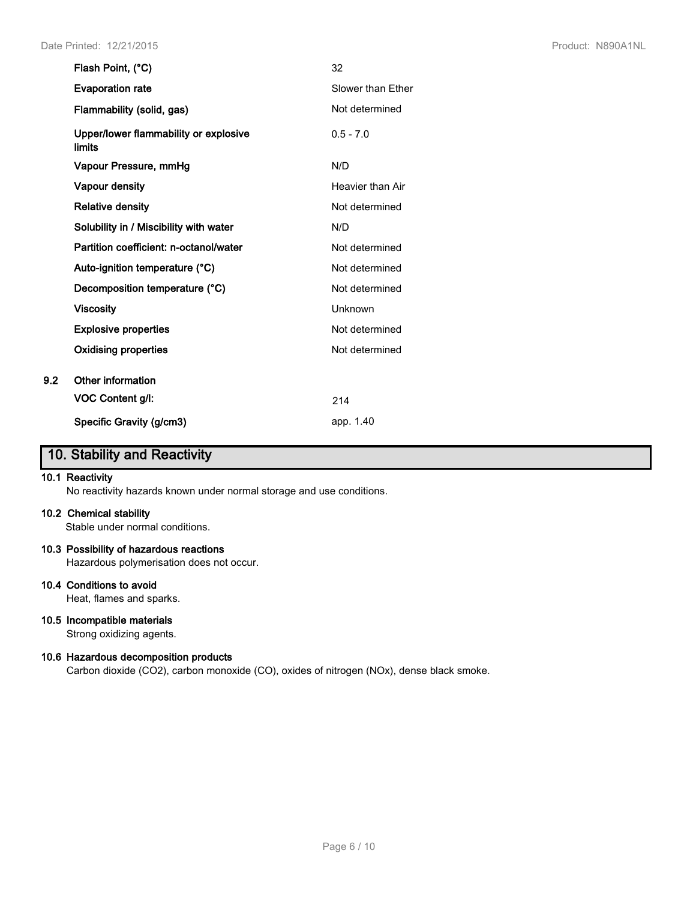|     | Flash Point, (°C)                               | 32                |
|-----|-------------------------------------------------|-------------------|
|     | <b>Evaporation rate</b>                         | Slower than Ether |
|     | Flammability (solid, gas)                       | Not determined    |
|     | Upper/lower flammability or explosive<br>limits | $0.5 - 7.0$       |
|     | Vapour Pressure, mmHg                           | N/D               |
|     | <b>Vapour density</b>                           | Heavier than Air  |
|     | <b>Relative density</b>                         | Not determined    |
|     | Solubility in / Miscibility with water          | N/D               |
|     | Partition coefficient: n-octanol/water          | Not determined    |
|     | Auto-ignition temperature (°C)                  | Not determined    |
|     | Decomposition temperature (°C)                  | Not determined    |
|     | <b>Viscosity</b>                                | Unknown           |
|     | <b>Explosive properties</b>                     | Not determined    |
|     | <b>Oxidising properties</b>                     | Not determined    |
| 9.2 | Other information                               |                   |
|     | VOC Content g/l:                                | 214               |
|     | Specific Gravity (g/cm3)                        | app. 1.40         |

# **10. Stability and Reactivity**

#### **10.1 Reactivity**

No reactivity hazards known under normal storage and use conditions.

#### **10.2 Chemical stability**

Stable under normal conditions.

#### **10.3 Possibility of hazardous reactions**

Hazardous polymerisation does not occur.

#### **10.4 Conditions to avoid**

Heat, flames and sparks.

## **10.5 Incompatible materials**

Strong oxidizing agents.

### **10.6 Hazardous decomposition products**

Carbon dioxide (CO2), carbon monoxide (CO), oxides of nitrogen (NOx), dense black smoke.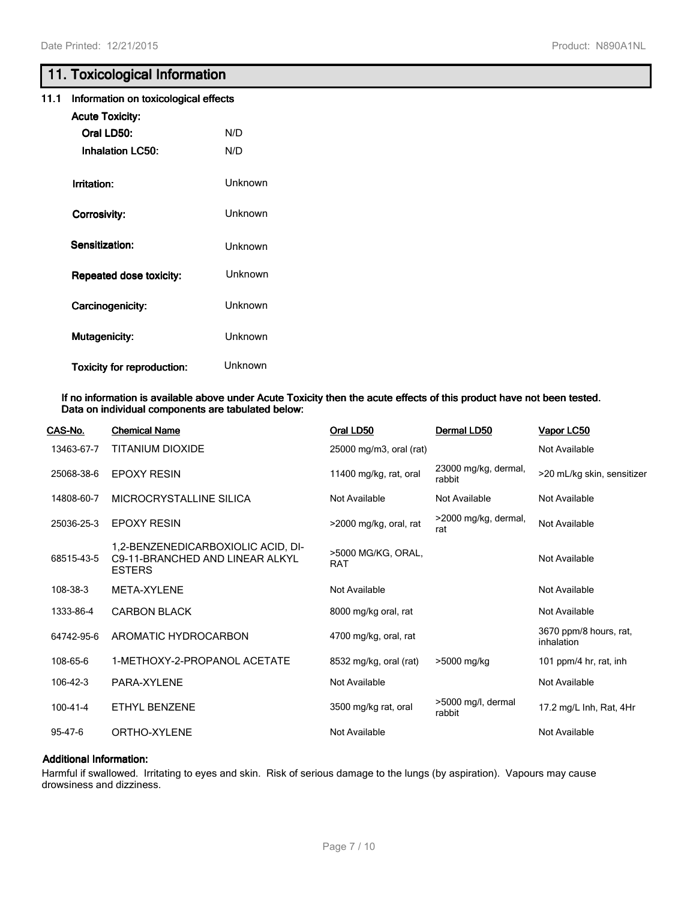# **11. Toxicological Information**

| 11.1 Information on toxicological effects |  |
|-------------------------------------------|--|
|-------------------------------------------|--|

| <b>Acute Toxicity:</b>            |         |
|-----------------------------------|---------|
| Oral LD50:                        | N/D     |
| <b>Inhalation LC50:</b>           | N/D     |
|                                   |         |
| Irritation:                       | Unknown |
| Corrosivity:                      | Unknown |
|                                   |         |
| Sensitization:                    | Unknown |
| <b>Repeated dose toxicity:</b>    | Unknown |
|                                   |         |
| Carcinogenicity:                  | Unknown |
| <b>Mutagenicity:</b>              | Unknown |
|                                   |         |
| <b>Toxicity for reproduction:</b> | Unknown |

#### **If no information is available above under Acute Toxicity then the acute effects of this product have not been tested. Data on individual components are tabulated below:**

| CAS-No.        | <b>Chemical Name</b>                                                                   | Oral LD50                        | Dermal LD50                    | <b>Vapor LC50</b>                    |
|----------------|----------------------------------------------------------------------------------------|----------------------------------|--------------------------------|--------------------------------------|
| 13463-67-7     | TITANIUM DIOXIDE                                                                       | 25000 mg/m3, oral (rat)          |                                | Not Available                        |
| 25068-38-6     | <b>EPOXY RESIN</b>                                                                     | 11400 mg/kg, rat, oral           | 23000 mg/kg, dermal,<br>rabbit | >20 mL/kg skin, sensitizer           |
| 14808-60-7     | MICROCRYSTALLINE SILICA                                                                | Not Available                    | Not Available                  | Not Available                        |
| 25036-25-3     | <b>EPOXY RESIN</b>                                                                     | >2000 mg/kg, oral, rat           | >2000 mg/kg, dermal,<br>rat    | Not Available                        |
| 68515-43-5     | 1,2-BENZENEDICARBOXIOLIC ACID, DI-<br>C9-11-BRANCHED AND LINEAR ALKYL<br><b>ESTERS</b> | >5000 MG/KG, ORAL,<br><b>RAT</b> |                                | Not Available                        |
| 108-38-3       | META-XYLENE                                                                            | Not Available                    |                                | Not Available                        |
| 1333-86-4      | <b>CARBON BLACK</b>                                                                    | 8000 mg/kg oral, rat             |                                | Not Available                        |
| 64742-95-6     | AROMATIC HYDROCARBON                                                                   | 4700 mg/kg, oral, rat            |                                | 3670 ppm/8 hours, rat,<br>inhalation |
| 108-65-6       | 1-METHOXY-2-PROPANOL ACETATE                                                           | 8532 mg/kg, oral (rat)           | >5000 mg/kg                    | 101 ppm/4 hr, rat, inh               |
| 106-42-3       | PARA-XYLENE                                                                            | Not Available                    |                                | Not Available                        |
| $100 - 41 - 4$ | ETHYL BENZENE                                                                          | 3500 mg/kg rat, oral             | >5000 mg/l, dermal<br>rabbit   | 17.2 mg/L Inh, Rat, 4Hr              |
| 95-47-6        | ORTHO-XYLENE                                                                           | Not Available                    |                                | Not Available                        |
|                |                                                                                        |                                  |                                |                                      |

#### **Additional Information:**

Harmful if swallowed. Irritating to eyes and skin. Risk of serious damage to the lungs (by aspiration). Vapours may cause drowsiness and dizziness.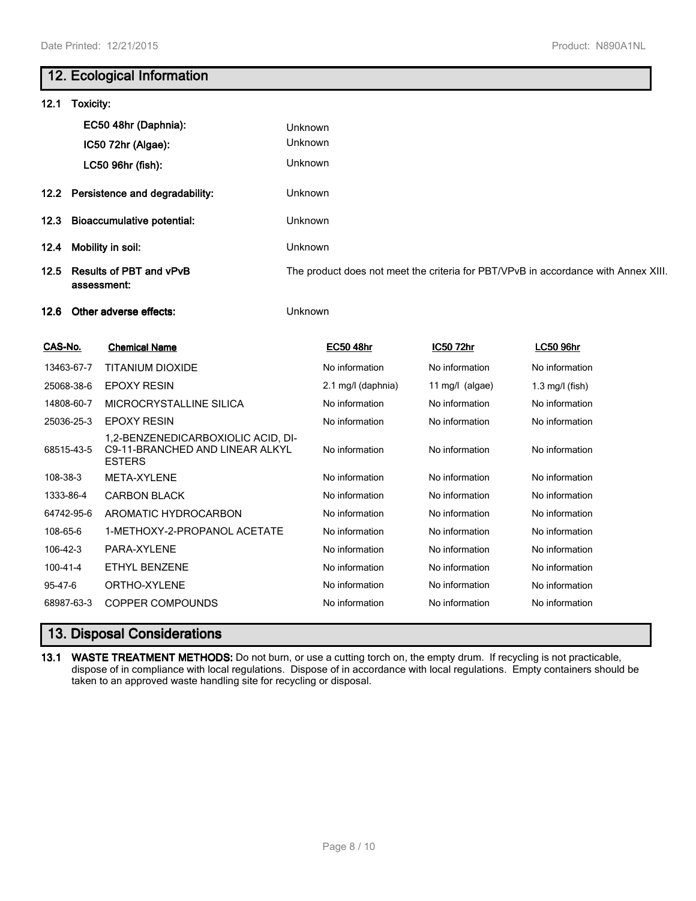# **12. Ecological Information**

| 12.1<br>Toxicity:                                     |                                |                                                                                        |         |                    |                                                                                    |                   |  |  |
|-------------------------------------------------------|--------------------------------|----------------------------------------------------------------------------------------|---------|--------------------|------------------------------------------------------------------------------------|-------------------|--|--|
|                                                       | EC50 48hr (Daphnia):           |                                                                                        | Unknown |                    |                                                                                    |                   |  |  |
|                                                       | IC50 72hr (Algae):             |                                                                                        | Unknown |                    |                                                                                    |                   |  |  |
|                                                       | LC50 96hr (fish):              |                                                                                        |         | Unknown            |                                                                                    |                   |  |  |
| 12.2                                                  | Persistence and degradability: |                                                                                        | Unknown |                    |                                                                                    |                   |  |  |
| <b>Bioaccumulative potential:</b><br>12.3             |                                | Unknown                                                                                |         |                    |                                                                                    |                   |  |  |
| 12.4                                                  |                                | Mobility in soil:                                                                      | Unknown |                    |                                                                                    |                   |  |  |
| <b>Results of PBT and vPvB</b><br>12.5<br>assessment: |                                |                                                                                        |         |                    | The product does not meet the criteria for PBT/VPvB in accordance with Annex XIII. |                   |  |  |
| Other adverse effects:<br>12.6                        |                                |                                                                                        | Unknown |                    |                                                                                    |                   |  |  |
| CAS-No.                                               |                                | <b>Chemical Name</b>                                                                   |         | <b>EC50 48hr</b>   | <b>IC50 72hr</b>                                                                   | <b>LC50 96hr</b>  |  |  |
|                                                       | 13463-67-7                     | TITANIUM DIOXIDE                                                                       |         | No information     | No information                                                                     | No information    |  |  |
|                                                       | 25068-38-6                     | <b>EPOXY RESIN</b>                                                                     |         | 2.1 mg/l (daphnia) | 11 mg/l $(algae)$                                                                  | $1.3$ mg/l (fish) |  |  |
|                                                       | 14808-60-7                     | MICROCRYSTALLINE SILICA                                                                |         | No information     | No information                                                                     | No information    |  |  |
|                                                       | 25036-25-3                     | <b>EPOXY RESIN</b>                                                                     |         | No information     | No information                                                                     | No information    |  |  |
|                                                       | 68515-43-5                     | 1,2-BENZENEDICARBOXIOLIC ACID, DI-<br>C9-11-BRANCHED AND LINEAR ALKYL<br><b>ESTERS</b> |         | No information     | No information                                                                     | No information    |  |  |
| 108-38-3                                              |                                | META-XYLENE                                                                            |         | No information     | No information                                                                     | No information    |  |  |
| 1333-86-4                                             |                                | <b>CARBON BLACK</b>                                                                    |         | No information     | No information                                                                     | No information    |  |  |
|                                                       | 64742-95-6                     | AROMATIC HYDROCARBON                                                                   |         | No information     | No information                                                                     | No information    |  |  |
| 108-65-6                                              |                                | 1-METHOXY-2-PROPANOL ACETATE                                                           |         | No information     | No information                                                                     | No information    |  |  |
| 106-42-3                                              |                                | PARA-XYLENE                                                                            |         | No information     | No information                                                                     | No information    |  |  |
| 100-41-4                                              |                                | <b>ETHYL BENZENE</b>                                                                   |         | No information     | No information                                                                     | No information    |  |  |
| 95-47-6                                               |                                | ORTHO-XYLENE                                                                           |         | No information     | No information                                                                     | No information    |  |  |
|                                                       | 68987-63-3                     | <b>COPPER COMPOUNDS</b>                                                                |         | No information     | No information                                                                     | No information    |  |  |
|                                                       |                                |                                                                                        |         |                    |                                                                                    |                   |  |  |

# **13. Disposal Considerations**

**13.1 WASTE TREATMENT METHODS:** Do not burn, or use a cutting torch on, the empty drum. If recycling is not practicable, dispose of in compliance with local regulations. Dispose of in accordance with local regulations. Empty containers should be taken to an approved waste handling site for recycling or disposal.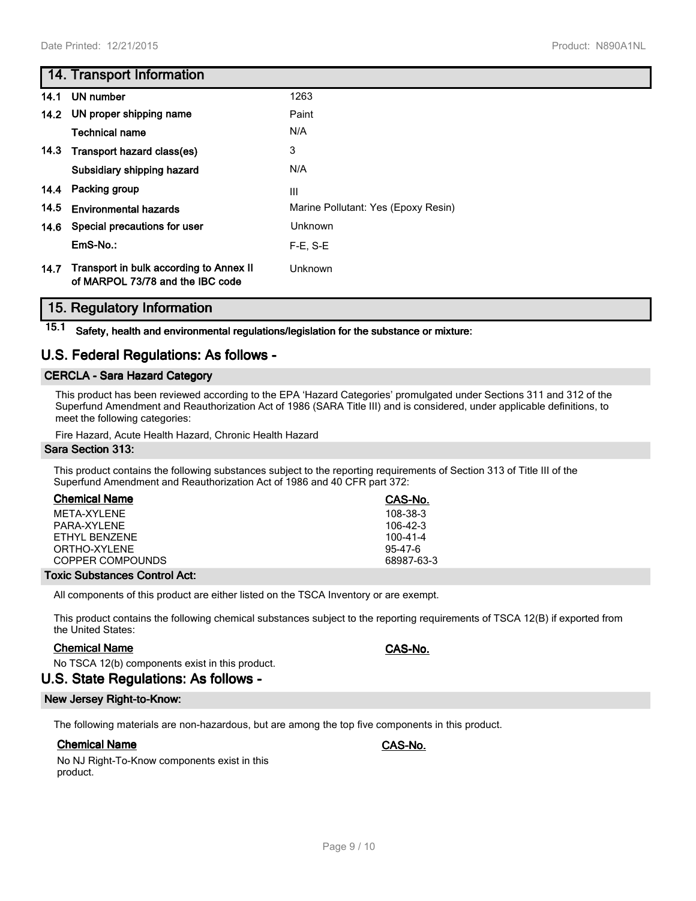## **14. Transport Information**

|      | 14.1 UN number                                                              | 1263                                |
|------|-----------------------------------------------------------------------------|-------------------------------------|
|      | 14.2 UN proper shipping name                                                | Paint                               |
|      | <b>Technical name</b>                                                       | N/A                                 |
| 14.3 | Transport hazard class(es)                                                  | 3                                   |
|      | Subsidiary shipping hazard                                                  | N/A                                 |
| 14.4 | Packing group                                                               | Ш                                   |
| 14.5 | <b>Environmental hazards</b>                                                | Marine Pollutant: Yes (Epoxy Resin) |
| 14.6 | Special precautions for user                                                | Unknown                             |
|      | $EmS-No.$                                                                   | $F-E. S-E$                          |
| 14.7 | Transport in bulk according to Annex II<br>of MARPOL 73/78 and the IBC code | Unknown                             |

## **15. Regulatory Information**

**15.1 Safety, health and environmental regulations/legislation for the substance or mixture:**

## **U.S. Federal Regulations: As follows -**

#### **CERCLA - Sara Hazard Category**

This product has been reviewed according to the EPA 'Hazard Categories' promulgated under Sections 311 and 312 of the Superfund Amendment and Reauthorization Act of 1986 (SARA Title III) and is considered, under applicable definitions, to meet the following categories:

Fire Hazard, Acute Health Hazard, Chronic Health Hazard

#### **Sara Section 313:**

This product contains the following substances subject to the reporting requirements of Section 313 of Title III of the Superfund Amendment and Reauthorization Act of 1986 and 40 CFR part 372:

| <b>Chemical Name</b> | CAS-No.        |
|----------------------|----------------|
| MFTA-XYI FNF         | $108 - 38 - 3$ |
| PARA-XYI FNF         | $106-42-3$     |
| FTHYL BENZENE        | 100-41-4       |
| ORTHO-XYLENE         | $95 - 47 - 6$  |
| COPPER COMPOUNDS     | 68987-63-3     |
|                      |                |

#### **Toxic Substances Control Act:**

All components of this product are either listed on the TSCA Inventory or are exempt.

This product contains the following chemical substances subject to the reporting requirements of TSCA 12(B) if exported from the United States:

#### **Chemical Name CAS-No.**

No TSCA 12(b) components exist in this product.

## **U.S. State Regulations: As follows -**

## **New Jersey Right-to-Know:**

The following materials are non-hazardous, but are among the top five components in this product.

## **Chemical Name CAS-No.**

No NJ Right-To-Know components exist in this product.